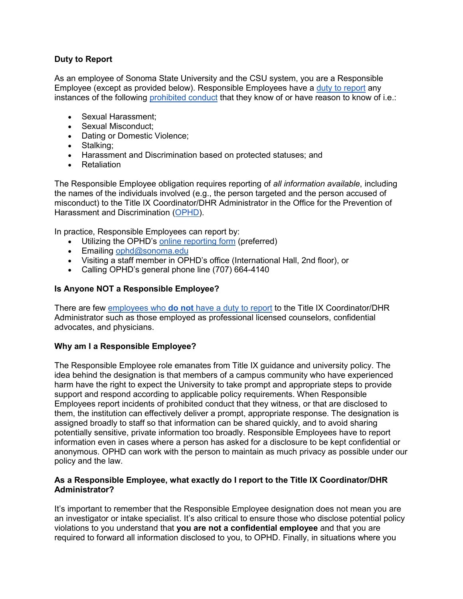# **Duty to Report**

As an employee of Sonoma State University and the CSU system, you are a Responsible Employee (except as provided below). Responsible Employees have a [duty to report](https://calstate.policystat.com/policy/10926024/latest/#autoid-p5byb) any instances of the following [prohibited conduct](https://calstate.policystat.com/policy/10926024/latest/#autoid-9md8m) that they know of or have reason to know of i.e.:

- Sexual Harassment;
- Sexual Misconduct;
- Dating or Domestic Violence;
- Stalking;
- Harassment and Discrimination based on protected statuses; and
- Retaliation

The Responsible Employee obligation requires reporting of *all information available*, including the names of the individuals involved (e.g., the person targeted and the person accused of misconduct) to the Title IX Coordinator/DHR Administrator in the Office for the Prevention of Harassment and Discrimination [\(OPHD\)](http://ophd.sonoma.edu/about).

In practice, Responsible Employees can report by:

- Utilizing the OPHD's [online reporting form](https://cm.maxient.com/reportingform.php?SonomaStateUniv&layout_id=1) (preferred)
- Emailing [ophd@sonoma.edu](mailto:ophd@sonoma.edu)
- Visiting a staff member in OPHD's office (International Hall, 2nd floor), or
- Calling OPHD's general phone line (707) 664-4140

# **Is Anyone NOT a Responsible Employee?**

There are few employees who **do not** [have a duty to report](https://calstate.policystat.com/policy/10926024/latest/#autoid-eaa4e) to the Title IX Coordinator/DHR Administrator such as those employed as professional licensed counselors, confidential advocates, and physicians.

### **Why am I a Responsible Employee?**

The Responsible Employee role emanates from Title IX guidance and university policy. The idea behind the designation is that members of a campus community who have experienced harm have the right to expect the University to take prompt and appropriate steps to provide support and respond according to applicable policy requirements. When Responsible Employees report incidents of prohibited conduct that they witness, or that are disclosed to them, the institution can effectively deliver a prompt, appropriate response. The designation is assigned broadly to staff so that information can be shared quickly, and to avoid sharing potentially sensitive, private information too broadly. Responsible Employees have to report information even in cases where a person has asked for a disclosure to be kept confidential or anonymous. OPHD can work with the person to maintain as much privacy as possible under our policy and the law.

### **As a Responsible Employee, what exactly do I report to the Title IX Coordinator/DHR Administrator?**

It's important to remember that the Responsible Employee designation does not mean you are an investigator or intake specialist. It's also critical to ensure those who disclose potential policy violations to you understand that **you are not a confidential employee** and that you are required to forward all information disclosed to you, to OPHD. Finally, in situations where you